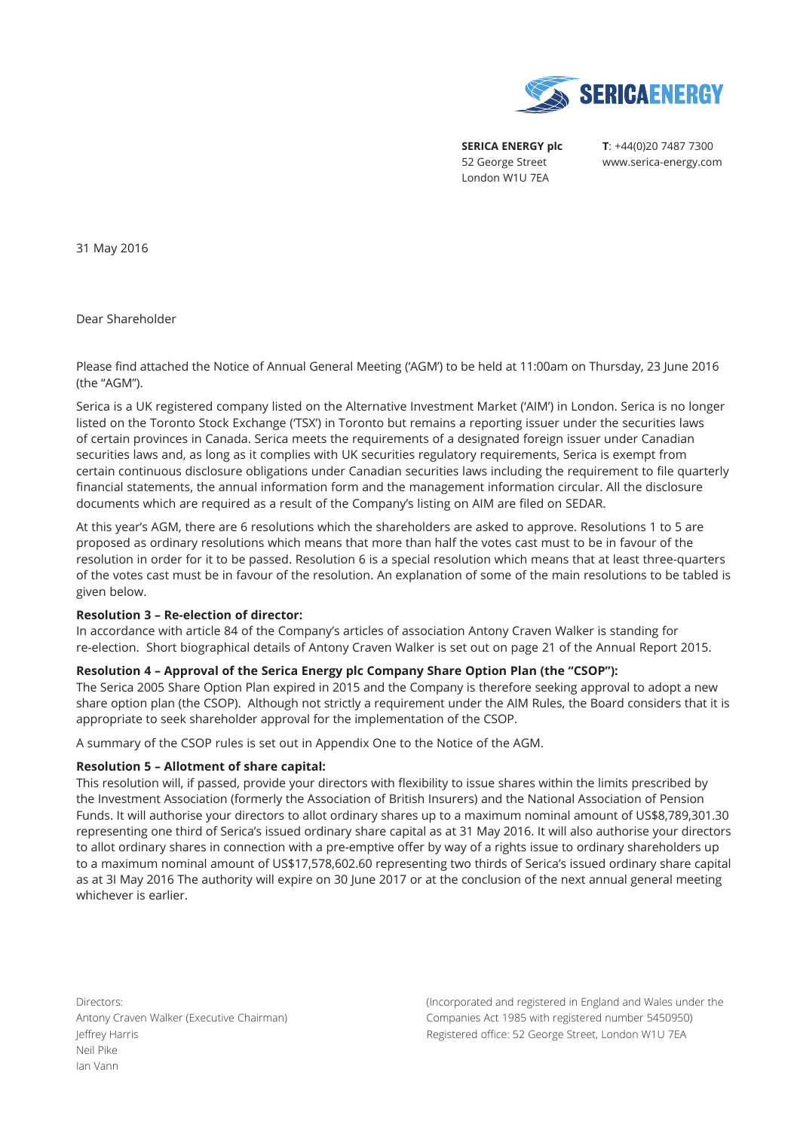

**SERICA ENERGY plc**  52 George Street London W1U 7EA

**T**: +44(0)20 7487 7300 www.serica-energy.com

31 May 2016

Dear Shareholder

Please find attached the Notice of Annual General Meeting ('AGM') to be held at 11:00am on Thursday, 23 June 2016 (the "AGM").

Serica is a UK registered company listed on the Alternative Investment Market ('AIM') in London. Serica is no longer listed on the Toronto Stock Exchange ('TSX') in Toronto but remains a reporting issuer under the securities laws of certain provinces in Canada. Serica meets the requirements of a designated foreign issuer under Canadian securities laws and, as long as it complies with UK securities regulatory requirements, Serica is exempt from certain continuous disclosure obligations under Canadian securities laws including the requirement to file quarterly financial statements, the annual information form and the management information circular. All the disclosure documents which are required as a result of the Company's listing on AIM are filed on SEDAR.

At this year's AGM, there are 6 resolutions which the shareholders are asked to approve. Resolutions 1 to 5 are proposed as ordinary resolutions which means that more than half the votes cast must to be in favour of the resolution in order for it to be passed. Resolution 6 is a special resolution which means that at least three-quarters of the votes cast must be in favour of the resolution. An explanation of some of the main resolutions to be tabled is given below.

#### **Resolution 3 – Re-election of director:**

In accordance with article 84 of the Company's articles of association Antony Craven Walker is standing for re-election. Short biographical details of Antony Craven Walker is set out on page 21 of the Annual Report 2015.

# **Resolution 4 – Approval of the Serica Energy plc Company Share Option Plan (the "CSOP"):**

The Serica 2005 Share Option Plan expired in 2015 and the Company is therefore seeking approval to adopt a new share option plan (the CSOP). Although not strictly a requirement under the AIM Rules, the Board considers that it is appropriate to seek shareholder approval for the implementation of the CSOP.

A summary of the CSOP rules is set out in Appendix One to the Notice of the AGM.

# **Resolution 5 – Allotment of share capital:**

This resolution will, if passed, provide your directors with flexibility to issue shares within the limits prescribed by the Investment Association (formerly the Association of British Insurers) and the National Association of Pension Funds. It will authorise your directors to allot ordinary shares up to a maximum nominal amount of US\$8,789,301.30 representing one third of Serica's issued ordinary share capital as at 31 May 2016. It will also authorise your directors to allot ordinary shares in connection with a pre-emptive offer by way of a rights issue to ordinary shareholders up to a maximum nominal amount of US\$17,578,602.60 representing two thirds of Serica's issued ordinary share capital as at 3I May 2016 The authority will expire on 30 June 2017 or at the conclusion of the next annual general meeting whichever is earlier.

Directors: Antony Craven Walker (Executive Chairman) Jeffrey Harris Neil Pike Ian Vann

(Incorporated and registered in England and Wales under the Companies Act 1985 with registered number 5450950) Registered office: 52 George Street, London W1U 7EA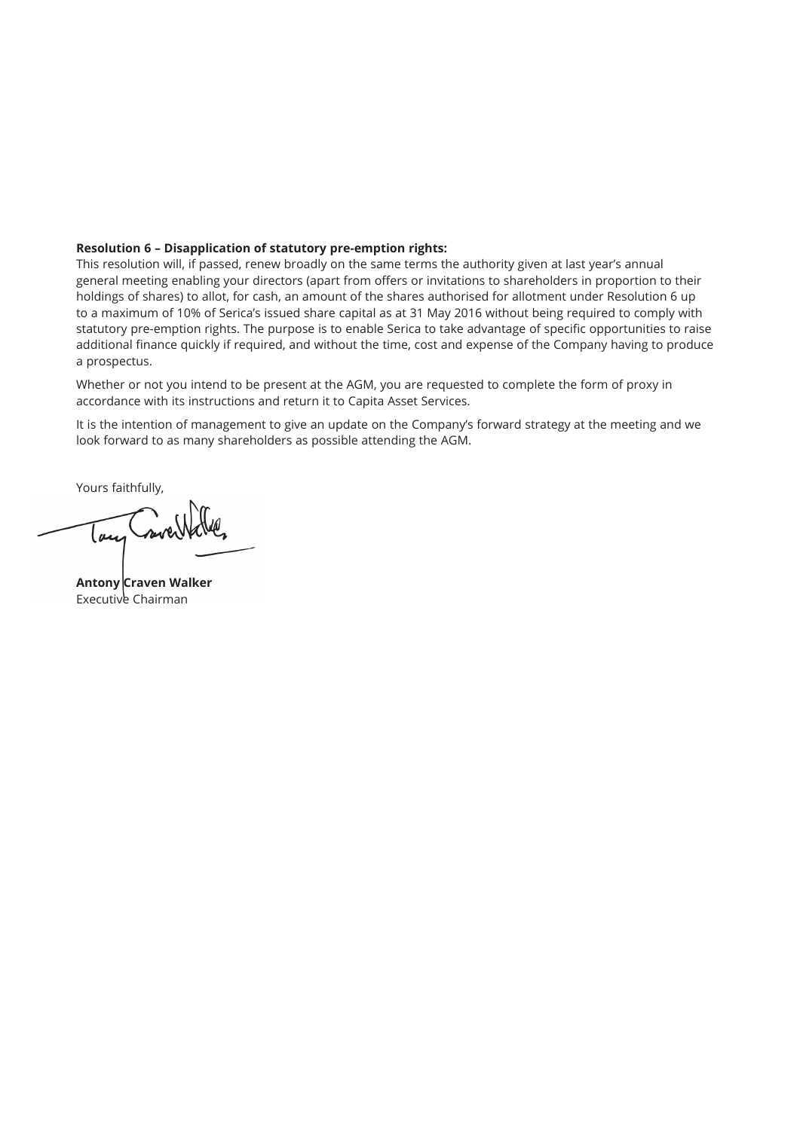# **Resolution 6 – Disapplication of statutory pre-emption rights:**

This resolution will, if passed, renew broadly on the same terms the authority given at last year's annual general meeting enabling your directors (apart from offers or invitations to shareholders in proportion to their holdings of shares) to allot, for cash, an amount of the shares authorised for allotment under Resolution 6 up to a maximum of 10% of Serica's issued share capital as at 31 May 2016 without being required to comply with statutory pre-emption rights. The purpose is to enable Serica to take advantage of specific opportunities to raise additional finance quickly if required, and without the time, cost and expense of the Company having to produce a prospectus.

Whether or not you intend to be present at the AGM, you are requested to complete the form of proxy in accordance with its instructions and return it to Capita Asset Services.

It is the intention of management to give an update on the Company's forward strategy at the meeting and we look forward to as many shareholders as possible attending the AGM.

Yours faithfully,

Tour

**Antony Craven Walker** Executive Chairman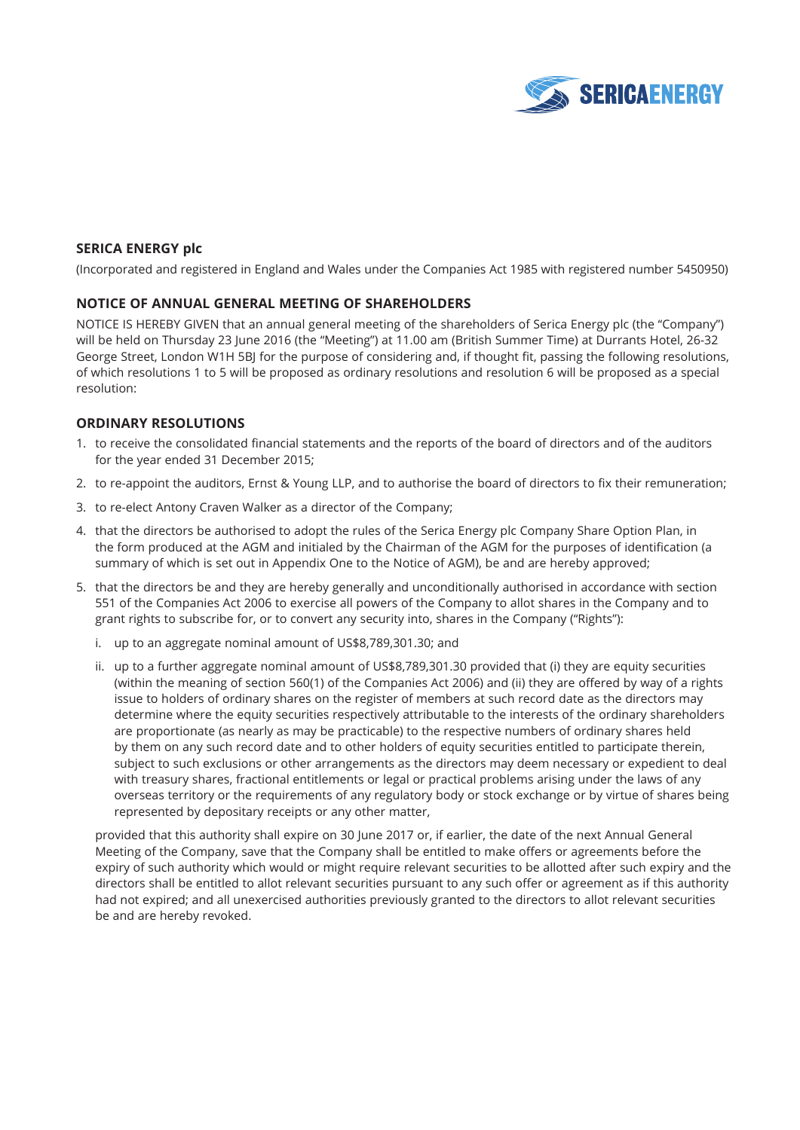

# **SERICA ENERGY plc**

(Incorporated and registered in England and Wales under the Companies Act 1985 with registered number 5450950)

# **NOTICE OF ANNUAL GENERAL MEETING OF SHAREHOLDERS**

NOTICE IS HEREBY GIVEN that an annual general meeting of the shareholders of Serica Energy plc (the "Company") will be held on Thursday 23 June 2016 (the "Meeting") at 11.00 am (British Summer Time) at Durrants Hotel, 26-32 George Street, London W1H 5BJ for the purpose of considering and, if thought fit, passing the following resolutions, of which resolutions 1 to 5 will be proposed as ordinary resolutions and resolution 6 will be proposed as a special resolution:

# **ORDINARY RESOLUTIONS**

- 1. to receive the consolidated financial statements and the reports of the board of directors and of the auditors for the year ended 31 December 2015;
- 2. to re-appoint the auditors, Ernst & Young LLP, and to authorise the board of directors to fix their remuneration;
- 3. to re-elect Antony Craven Walker as a director of the Company;
- 4. that the directors be authorised to adopt the rules of the Serica Energy plc Company Share Option Plan, in the form produced at the AGM and initialed by the Chairman of the AGM for the purposes of identification (a summary of which is set out in Appendix One to the Notice of AGM), be and are hereby approved;
- 5. that the directors be and they are hereby generally and unconditionally authorised in accordance with section 551 of the Companies Act 2006 to exercise all powers of the Company to allot shares in the Company and to grant rights to subscribe for, or to convert any security into, shares in the Company ("Rights"):
	- i. up to an aggregate nominal amount of US\$8,789,301.30; and
	- ii. up to a further aggregate nominal amount of US\$8,789,301.30 provided that (i) they are equity securities (within the meaning of section 560(1) of the Companies Act 2006) and (ii) they are offered by way of a rights issue to holders of ordinary shares on the register of members at such record date as the directors may determine where the equity securities respectively attributable to the interests of the ordinary shareholders are proportionate (as nearly as may be practicable) to the respective numbers of ordinary shares held by them on any such record date and to other holders of equity securities entitled to participate therein, subject to such exclusions or other arrangements as the directors may deem necessary or expedient to deal with treasury shares, fractional entitlements or legal or practical problems arising under the laws of any overseas territory or the requirements of any regulatory body or stock exchange or by virtue of shares being represented by depositary receipts or any other matter,

 provided that this authority shall expire on 30 June 2017 or, if earlier, the date of the next Annual General Meeting of the Company, save that the Company shall be entitled to make offers or agreements before the expiry of such authority which would or might require relevant securities to be allotted after such expiry and the directors shall be entitled to allot relevant securities pursuant to any such offer or agreement as if this authority had not expired; and all unexercised authorities previously granted to the directors to allot relevant securities be and are hereby revoked.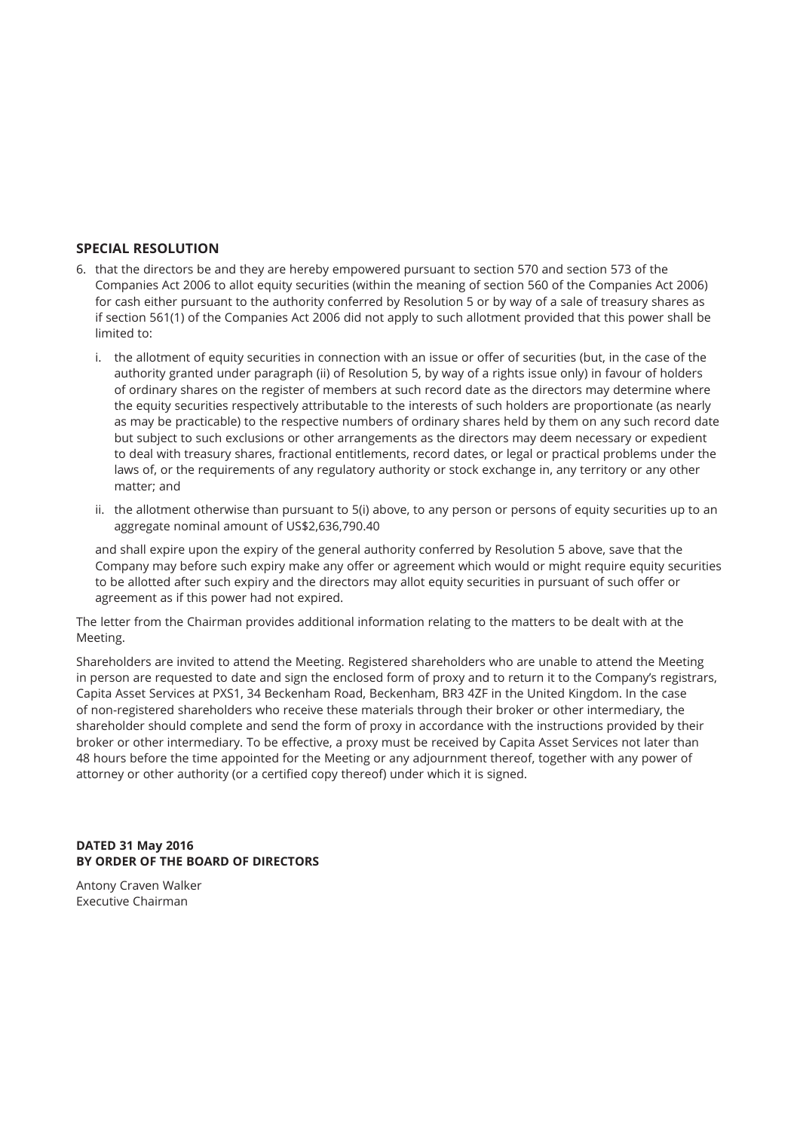# **SPECIAL RESOLUTION**

- 6. that the directors be and they are hereby empowered pursuant to section 570 and section 573 of the Companies Act 2006 to allot equity securities (within the meaning of section 560 of the Companies Act 2006) for cash either pursuant to the authority conferred by Resolution 5 or by way of a sale of treasury shares as if section 561(1) of the Companies Act 2006 did not apply to such allotment provided that this power shall be limited to:
	- i. the allotment of equity securities in connection with an issue or offer of securities (but, in the case of the authority granted under paragraph (ii) of Resolution 5, by way of a rights issue only) in favour of holders of ordinary shares on the register of members at such record date as the directors may determine where the equity securities respectively attributable to the interests of such holders are proportionate (as nearly as may be practicable) to the respective numbers of ordinary shares held by them on any such record date but subject to such exclusions or other arrangements as the directors may deem necessary or expedient to deal with treasury shares, fractional entitlements, record dates, or legal or practical problems under the laws of, or the requirements of any regulatory authority or stock exchange in, any territory or any other matter; and
	- ii. the allotment otherwise than pursuant to 5(i) above, to any person or persons of equity securities up to an aggregate nominal amount of US\$2,636,790.40

 and shall expire upon the expiry of the general authority conferred by Resolution 5 above, save that the Company may before such expiry make any offer or agreement which would or might require equity securities to be allotted after such expiry and the directors may allot equity securities in pursuant of such offer or agreement as if this power had not expired.

The letter from the Chairman provides additional information relating to the matters to be dealt with at the Meeting.

Shareholders are invited to attend the Meeting. Registered shareholders who are unable to attend the Meeting in person are requested to date and sign the enclosed form of proxy and to return it to the Company's registrars, Capita Asset Services at PXS1, 34 Beckenham Road, Beckenham, BR3 4ZF in the United Kingdom. In the case of non-registered shareholders who receive these materials through their broker or other intermediary, the shareholder should complete and send the form of proxy in accordance with the instructions provided by their broker or other intermediary. To be effective, a proxy must be received by Capita Asset Services not later than 48 hours before the time appointed for the Meeting or any adjournment thereof, together with any power of attorney or other authority (or a certified copy thereof) under which it is signed.

# **DATED 31 May 2016 BY ORDER OF THE BOARD OF DIRECTORS**

Antony Craven Walker Executive Chairman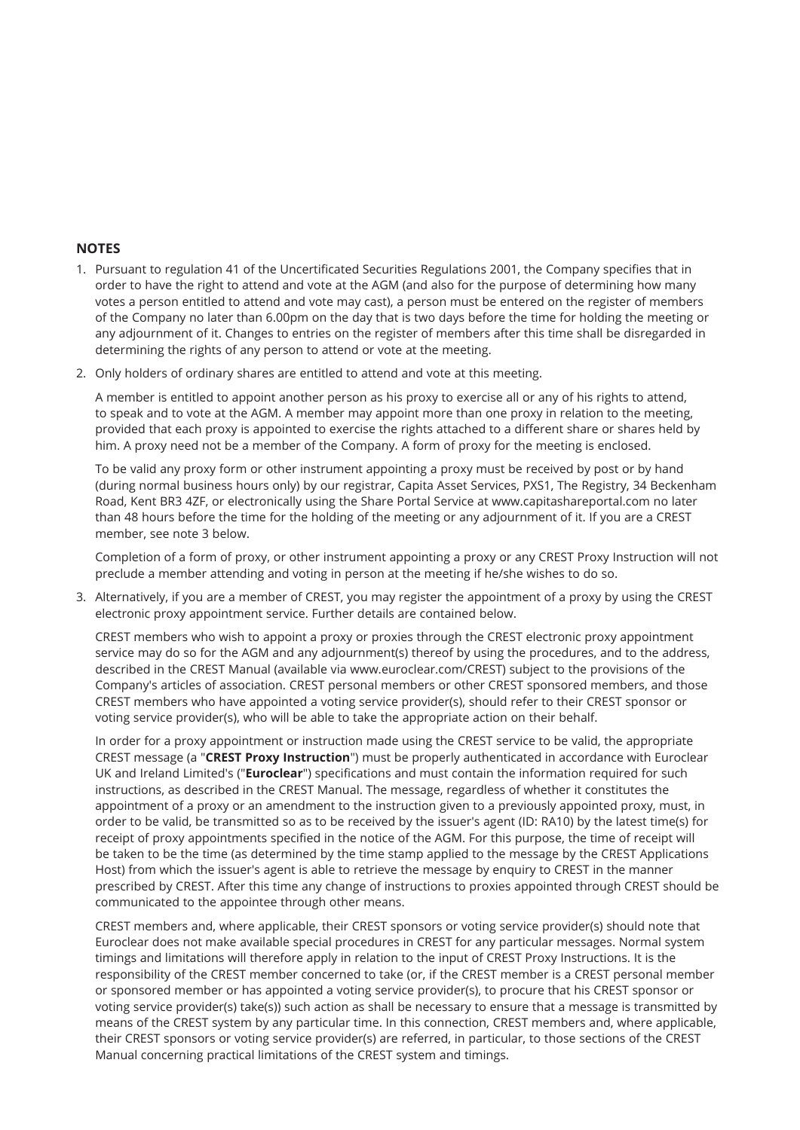# **NOTES**

- 1. Pursuant to regulation 41 of the Uncertificated Securities Regulations 2001, the Company specifies that in order to have the right to attend and vote at the AGM (and also for the purpose of determining how many votes a person entitled to attend and vote may cast), a person must be entered on the register of members of the Company no later than 6.00pm on the day that is two days before the time for holding the meeting or any adjournment of it. Changes to entries on the register of members after this time shall be disregarded in determining the rights of any person to attend or vote at the meeting.
- 2. Only holders of ordinary shares are entitled to attend and vote at this meeting.

 A member is entitled to appoint another person as his proxy to exercise all or any of his rights to attend, to speak and to vote at the AGM. A member may appoint more than one proxy in relation to the meeting, provided that each proxy is appointed to exercise the rights attached to a different share or shares held by him. A proxy need not be a member of the Company. A form of proxy for the meeting is enclosed.

 To be valid any proxy form or other instrument appointing a proxy must be received by post or by hand (during normal business hours only) by our registrar, Capita Asset Services, PXS1, The Registry, 34 Beckenham Road, Kent BR3 4ZF, or electronically using the Share Portal Service at www.capitashareportal.com no later than 48 hours before the time for the holding of the meeting or any adjournment of it. If you are a CREST member, see note 3 below.

 Completion of a form of proxy, or other instrument appointing a proxy or any CREST Proxy Instruction will not preclude a member attending and voting in person at the meeting if he/she wishes to do so.

3. Alternatively, if you are a member of CREST, you may register the appointment of a proxy by using the CREST electronic proxy appointment service. Further details are contained below.

 CREST members who wish to appoint a proxy or proxies through the CREST electronic proxy appointment service may do so for the AGM and any adjournment(s) thereof by using the procedures, and to the address, described in the CREST Manual (available via www.euroclear.com/CREST) subject to the provisions of the Company's articles of association. CREST personal members or other CREST sponsored members, and those CREST members who have appointed a voting service provider(s), should refer to their CREST sponsor or voting service provider(s), who will be able to take the appropriate action on their behalf.

 In order for a proxy appointment or instruction made using the CREST service to be valid, the appropriate CREST message (a "**CREST Proxy Instruction**") must be properly authenticated in accordance with Euroclear UK and Ireland Limited's ("**Euroclear**") specifications and must contain the information required for such instructions, as described in the CREST Manual. The message, regardless of whether it constitutes the appointment of a proxy or an amendment to the instruction given to a previously appointed proxy, must, in order to be valid, be transmitted so as to be received by the issuer's agent (ID: RA10) by the latest time(s) for receipt of proxy appointments specified in the notice of the AGM. For this purpose, the time of receipt will be taken to be the time (as determined by the time stamp applied to the message by the CREST Applications Host) from which the issuer's agent is able to retrieve the message by enquiry to CREST in the manner prescribed by CREST. After this time any change of instructions to proxies appointed through CREST should be communicated to the appointee through other means.

 CREST members and, where applicable, their CREST sponsors or voting service provider(s) should note that Euroclear does not make available special procedures in CREST for any particular messages. Normal system timings and limitations will therefore apply in relation to the input of CREST Proxy Instructions. It is the responsibility of the CREST member concerned to take (or, if the CREST member is a CREST personal member or sponsored member or has appointed a voting service provider(s), to procure that his CREST sponsor or voting service provider(s) take(s)) such action as shall be necessary to ensure that a message is transmitted by means of the CREST system by any particular time. In this connection, CREST members and, where applicable, their CREST sponsors or voting service provider(s) are referred, in particular, to those sections of the CREST Manual concerning practical limitations of the CREST system and timings.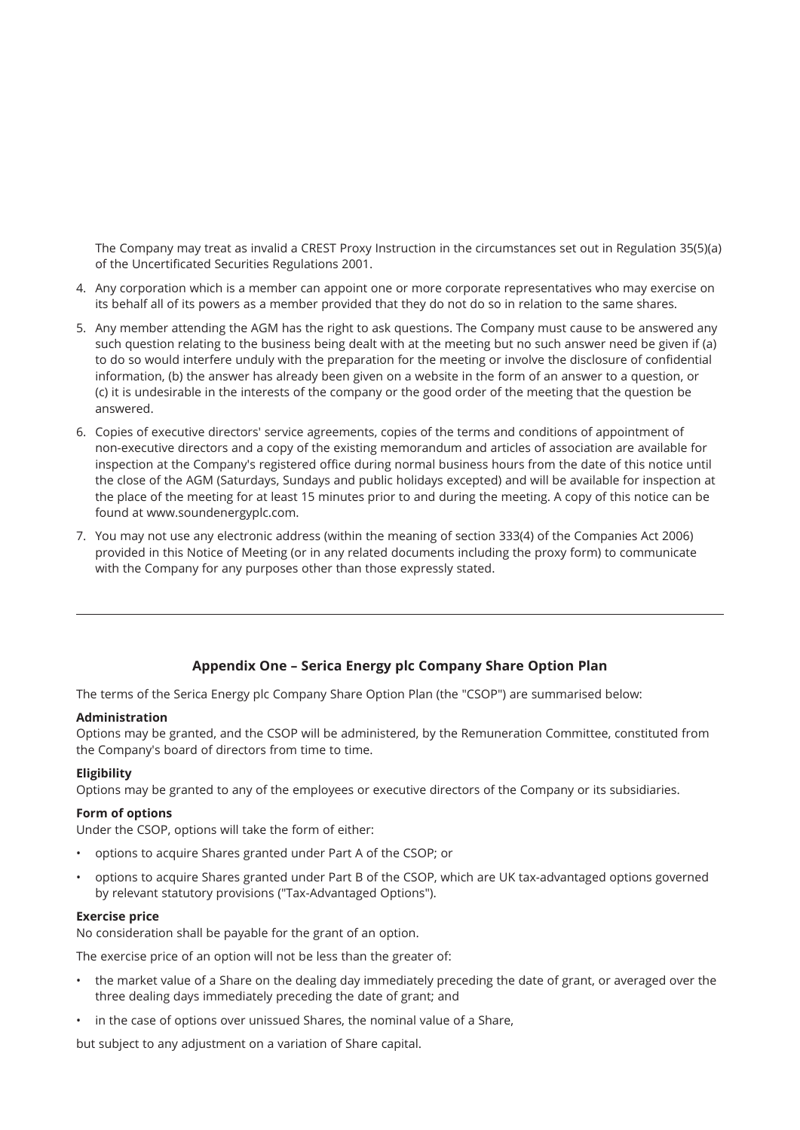The Company may treat as invalid a CREST Proxy Instruction in the circumstances set out in Regulation 35(5)(a) of the Uncertificated Securities Regulations 2001.

- 4. Any corporation which is a member can appoint one or more corporate representatives who may exercise on its behalf all of its powers as a member provided that they do not do so in relation to the same shares.
- 5. Any member attending the AGM has the right to ask questions. The Company must cause to be answered any such question relating to the business being dealt with at the meeting but no such answer need be given if (a) to do so would interfere unduly with the preparation for the meeting or involve the disclosure of confidential information, (b) the answer has already been given on a website in the form of an answer to a question, or (c) it is undesirable in the interests of the company or the good order of the meeting that the question be answered.
- 6. Copies of executive directors' service agreements, copies of the terms and conditions of appointment of non-executive directors and a copy of the existing memorandum and articles of association are available for inspection at the Company's registered office during normal business hours from the date of this notice until the close of the AGM (Saturdays, Sundays and public holidays excepted) and will be available for inspection at the place of the meeting for at least 15 minutes prior to and during the meeting. A copy of this notice can be found at www.soundenergyplc.com.
- 7. You may not use any electronic address (within the meaning of section 333(4) of the Companies Act 2006) provided in this Notice of Meeting (or in any related documents including the proxy form) to communicate with the Company for any purposes other than those expressly stated.

# **Appendix One – Serica Energy plc Company Share Option Plan**

The terms of the Serica Energy plc Company Share Option Plan (the "CSOP") are summarised below:

# **Administration**

Options may be granted, and the CSOP will be administered, by the Remuneration Committee, constituted from the Company's board of directors from time to time.

# **Eligibility**

Options may be granted to any of the employees or executive directors of the Company or its subsidiaries.

#### **Form of options**

Under the CSOP, options will take the form of either:

- options to acquire Shares granted under Part A of the CSOP; or
- options to acquire Shares granted under Part B of the CSOP, which are UK tax-advantaged options governed by relevant statutory provisions ("Tax-Advantaged Options").

#### **Exercise price**

No consideration shall be payable for the grant of an option.

The exercise price of an option will not be less than the greater of:

- the market value of a Share on the dealing day immediately preceding the date of grant, or averaged over the three dealing days immediately preceding the date of grant; and
- in the case of options over unissued Shares, the nominal value of a Share,

but subject to any adjustment on a variation of Share capital.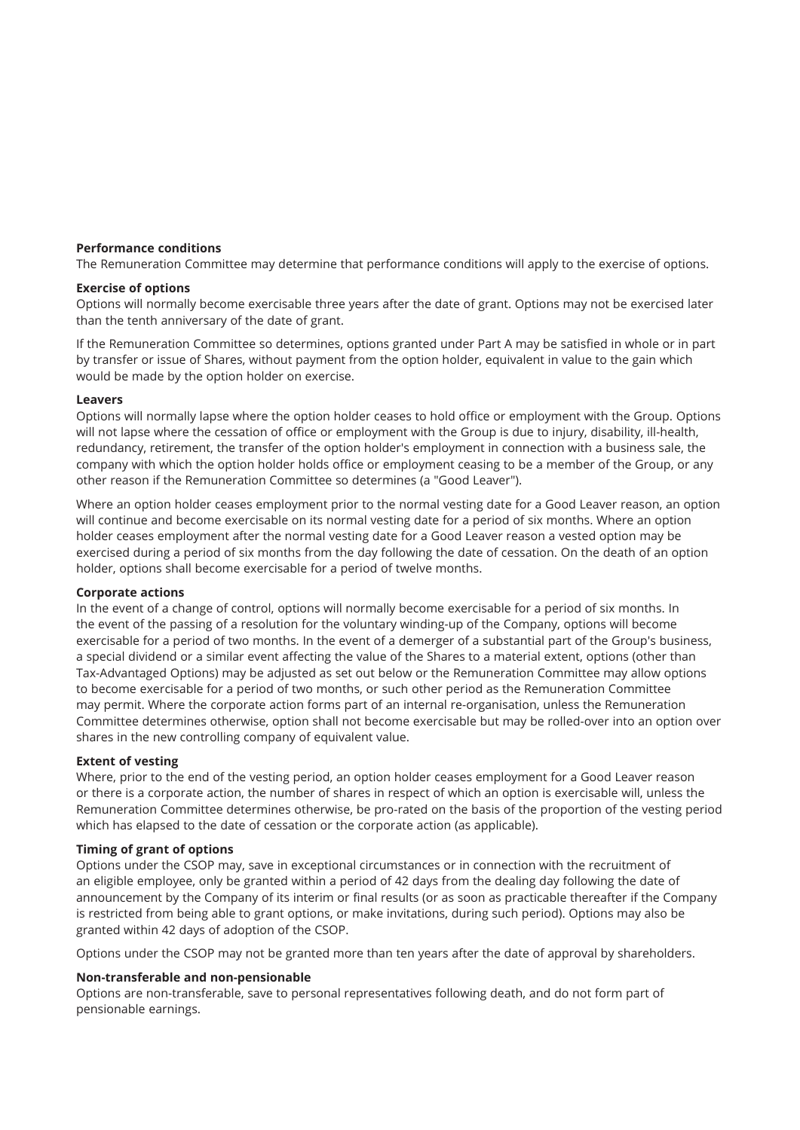# **Performance conditions**

The Remuneration Committee may determine that performance conditions will apply to the exercise of options.

# **Exercise of options**

Options will normally become exercisable three years after the date of grant. Options may not be exercised later than the tenth anniversary of the date of grant.

If the Remuneration Committee so determines, options granted under Part A may be satisfied in whole or in part by transfer or issue of Shares, without payment from the option holder, equivalent in value to the gain which would be made by the option holder on exercise.

# **Leavers**

Options will normally lapse where the option holder ceases to hold office or employment with the Group. Options will not lapse where the cessation of office or employment with the Group is due to injury, disability, ill-health, redundancy, retirement, the transfer of the option holder's employment in connection with a business sale, the company with which the option holder holds office or employment ceasing to be a member of the Group, or any other reason if the Remuneration Committee so determines (a "Good Leaver").

Where an option holder ceases employment prior to the normal vesting date for a Good Leaver reason, an option will continue and become exercisable on its normal vesting date for a period of six months. Where an option holder ceases employment after the normal vesting date for a Good Leaver reason a vested option may be exercised during a period of six months from the day following the date of cessation. On the death of an option holder, options shall become exercisable for a period of twelve months.

# **Corporate actions**

In the event of a change of control, options will normally become exercisable for a period of six months. In the event of the passing of a resolution for the voluntary winding-up of the Company, options will become exercisable for a period of two months. In the event of a demerger of a substantial part of the Group's business, a special dividend or a similar event affecting the value of the Shares to a material extent, options (other than Tax-Advantaged Options) may be adjusted as set out below or the Remuneration Committee may allow options to become exercisable for a period of two months, or such other period as the Remuneration Committee may permit. Where the corporate action forms part of an internal re-organisation, unless the Remuneration Committee determines otherwise, option shall not become exercisable but may be rolled-over into an option over shares in the new controlling company of equivalent value.

# **Extent of vesting**

Where, prior to the end of the vesting period, an option holder ceases employment for a Good Leaver reason or there is a corporate action, the number of shares in respect of which an option is exercisable will, unless the Remuneration Committee determines otherwise, be pro-rated on the basis of the proportion of the vesting period which has elapsed to the date of cessation or the corporate action (as applicable).

# **Timing of grant of options**

Options under the CSOP may, save in exceptional circumstances or in connection with the recruitment of an eligible employee, only be granted within a period of 42 days from the dealing day following the date of announcement by the Company of its interim or final results (or as soon as practicable thereafter if the Company is restricted from being able to grant options, or make invitations, during such period). Options may also be granted within 42 days of adoption of the CSOP.

Options under the CSOP may not be granted more than ten years after the date of approval by shareholders.

# **Non-transferable and non-pensionable**

Options are non-transferable, save to personal representatives following death, and do not form part of pensionable earnings.